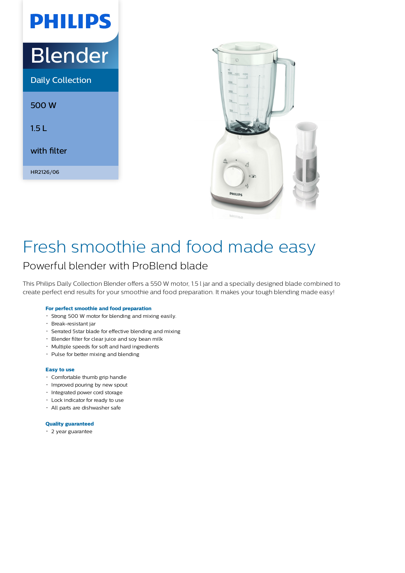# Blender

**PHILIPS** 

Daily Collection

500 W

1.5 L

with filter

HR2126/06



## Fresh smoothie and food made easy

### Powerful blender with ProBlend blade

This Philips Daily Collection Blender offers a 550 W motor, 1.5 l jar and a specially designed blade combined to create perfect end results for your smoothie and food preparation. It makes your tough blending made easy!

#### **For perfect smoothie and food preparation**

- Strong 500 W motor for blending and mixing easily.
- Break-resistant jar
- Serrated 5star blade for effective blending and mixing
- Blender filter for clear juice and soy bean milk
- Multiple speeds for soft and hard ingredients
- Pulse for better mixing and blending

#### **Easy to use**

- Comfortable thumb grip handle
- Improved pouring by new spout
- Integrated power cord storage
- Lock indicator for ready to use
- All parts are dishwasher safe

#### **Quality guaranteed**

2 year guarantee